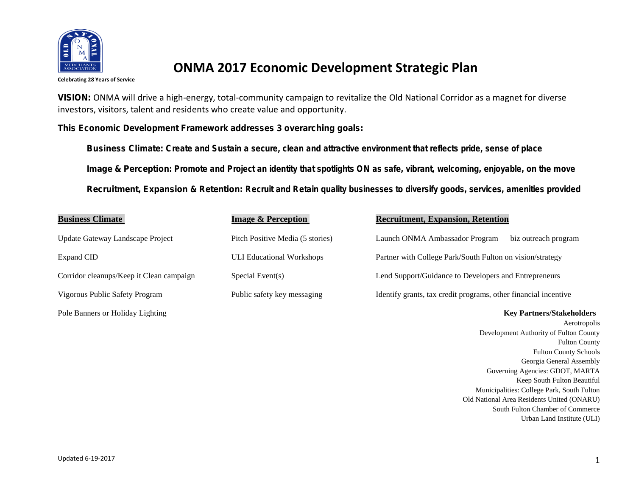

## **ONMA 2017 Economic Development Strategic Plan**

**Celebrating 28 Years of Service**

VISION: ONMA will drive a high-energy, total-community campaign to revitalize the Old National Corridor as a magnet for diverse investors, visitors, talent and residents who create value and opportunity.

This Economic Development Framework addresses 3 overarching goals:

Business Climate: **Create and Sustain a secure, clean and attractive environment that reflects pride, sense of place** Image & Perception**: Promote and Project an identity that spotlights ON as safe, vibrant, welcoming, enjoyable, on the move** Recruitment, Expansion & Retention: **Recruit and Retain quality businesses to diversify goods, services, amenities provided**

| <b>Business Climate</b>                  | <b>Image &amp; Perception</b>    | <b>Recruitment, Expansion, Retention</b>                           |
|------------------------------------------|----------------------------------|--------------------------------------------------------------------|
| Update Gateway Landscape Project         | Pitch Positive Media (5 stories) | Launch ONMA Ambassador Program — biz outreach program              |
| Expand CID                               | <b>ULI Educational Workshops</b> | Partner with College Park/South Fulton on vision/strategy          |
| Corridor cleanups/Keep it Clean campaign | Special Event(s)                 | Lend Support/Guidance to Developers and Entrepreneurs              |
| Vigorous Public Safety Program           | Public safety key messaging      | Identify grants, tax credit programs, other financial incentive    |
| Pole Banners or Holiday Lighting         |                                  | <b>Key Partners/Stakeholders</b>                                   |
|                                          |                                  | Aerotropol<br>Development Authority of Fulton Count<br><b>PLAN</b> |

 $\overline{\text{lis}}$ Development Authority of Fulton County Fulton County Fulton County Schools Georgia General Assembly Governing Agencies: GDOT, MARTA Keep South Fulton Beautiful Municipalities: College Park, South Fulton Old National Area Residents United (ONARU) South Fulton Chamber of Commerce Urban Land Institute (ULI)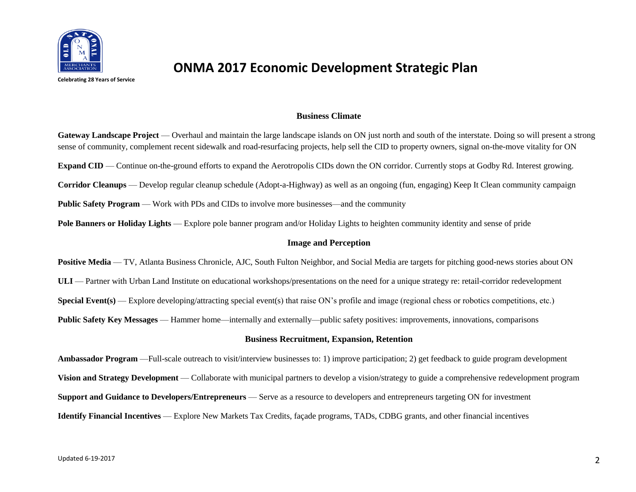

## **ONMA 2017 Economic Development Strategic Plan**

**Celebrating 28 Years of Service**

#### **Business Climate**

**Gateway Landscape Project** — Overhaul and maintain the large landscape islands on ON just north and south of the interstate. Doing so will present a strong sense of community, complement recent sidewalk and road-resurfacing projects, help sell the CID to property owners, signal on-the-move vitality for ON **Expand CID** — Continue on-the-ground efforts to expand the Aerotropolis CIDs down the ON corridor. Currently stops at Godby Rd. Interest growing. **Corridor Cleanups** — Develop regular cleanup schedule (Adopt-a-Highway) as well as an ongoing (fun, engaging) Keep It Clean community campaign **Public Safety Program** — Work with PDs and CIDs to involve more businesses—and the community **Pole Banners or Holiday Lights** — Explore pole banner program and/or Holiday Lights to heighten community identity and sense of pride

### **Image and Perception**

**Positive Media** — TV, Atlanta Business Chronicle, AJC, South Fulton Neighbor, and Social Media are targets for pitching good-news stories about ON **ULI** — Partner with Urban Land Institute on educational workshops/presentations on the need for a unique strategy re: retail-corridor redevelopment **Special Event(s)** — Explore developing/attracting special event(s) that raise ON's profile and image (regional chess or robotics competitions, etc.) **Public Safety Key Messages** — Hammer home—internally and externally—public safety positives: improvements, innovations, comparisons

### **Business Recruitment, Expansion, Retention**

**Ambassador Program** —Full-scale outreach to visit/interview businesses to: 1) improve participation; 2) get feedback to guide program development **Vision and Strategy Development** — Collaborate with municipal partners to develop a vision/strategy to guide a comprehensive redevelopment program **Support and Guidance to Developers/Entrepreneurs** — Serve as a resource to developers and entrepreneurs targeting ON for investment **Identify Financial Incentives** — Explore New Markets Tax Credits, façade programs, TADs, CDBG grants, and other financial incentives